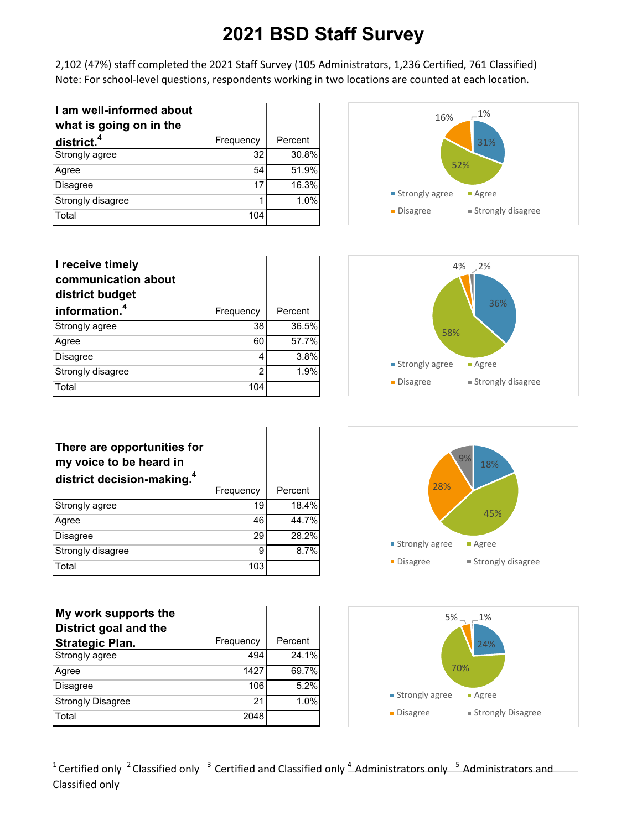2,102 (47%) staff completed the 2021 Staff Survey (105 Administrators, 1,236 Certified, 761 Classified) Note: For school-level questions, respondents working in two locations are counted at each location.

| I am well-informed about<br>what is going on in the |           |         |
|-----------------------------------------------------|-----------|---------|
| district. <sup>4</sup>                              | Frequency | Percent |
| Strongly agree                                      | 32        | 30.8%   |
| Agree                                               | 54        | 51.9%   |
| <b>Disagree</b>                                     | 17        | 16.3%   |
| Strongly disagree                                   | 1         | 1.0%    |
| Total                                               | 104       |         |



| I receive timely<br>communication about<br>district budget |           |         |
|------------------------------------------------------------|-----------|---------|
| information. <sup>4</sup>                                  | Frequency | Percent |
| Strongly agree                                             | 38        | 36.5%   |
| Agree                                                      | 60        | 57.7%   |
| <b>Disagree</b>                                            | 4         | 3.8%    |
| Strongly disagree                                          | 2         | 1.9%    |
| Total                                                      | 104       |         |



| Percent | 28%              | 9%<br>18%           |
|---------|------------------|---------------------|
| 18.4%   |                  |                     |
| 44.7%   |                  | 45%                 |
| 28.2%   | ■ Strongly agree | • Agree             |
| 8.7%    |                  |                     |
|         | • Disagree       | ■ Strongly disagree |
|         |                  |                     |



| There are opportunities for            |  |
|----------------------------------------|--|
| my voice to be heard in                |  |
| district decision-making. <sup>4</sup> |  |

|                   | Frequency | Percent |
|-------------------|-----------|---------|
| Strongly agree    | 19        | 18.4%   |
| Agree             | 46        | 44.7%   |
| <b>Disagree</b>   | 29        | 28.2%   |
| Strongly disagree | 9         | 8.7%    |
| Total             | 103       |         |

| My work supports the     |           |         |
|--------------------------|-----------|---------|
| District goal and the    |           |         |
| <b>Strategic Plan.</b>   | Frequency | Percent |
| Strongly agree           | 494       | 24.1%   |
| Agree                    | 1427      | 69.7%   |
| <b>Disagree</b>          | 106       | 5.2%    |
| <b>Strongly Disagree</b> | 21        | 1.0%    |
| Total                    | 2048      |         |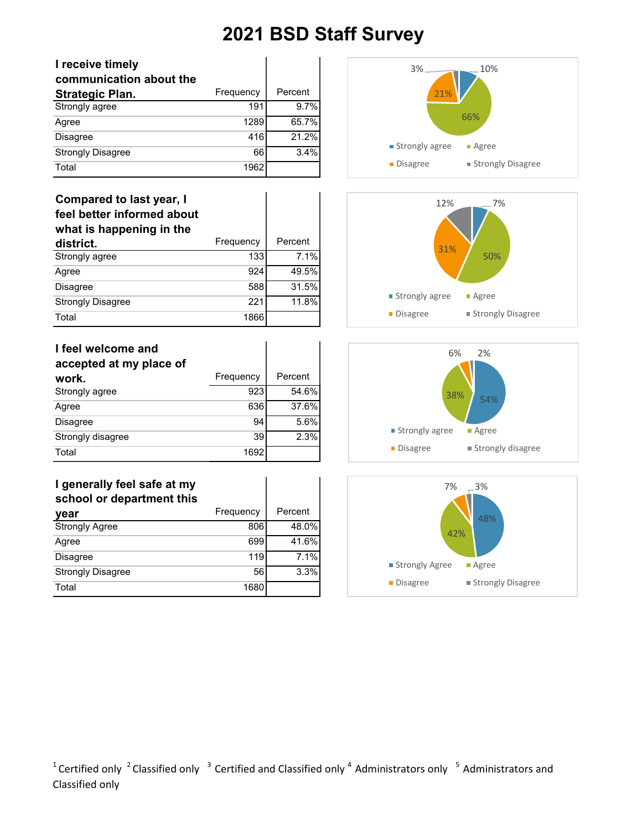| I receive timely         |           |         |
|--------------------------|-----------|---------|
| communication about the  |           |         |
| <b>Strategic Plan.</b>   | Frequency | Percent |
| Strongly agree           | 191       | 9.7%    |
| Agree                    | 1289      | 65.7%   |
| <b>Disagree</b>          | 416       | 21.2%   |
| <b>Strongly Disagree</b> | 66        | 3.4%    |
| Total                    | 1962      |         |

### **Compared to last year, I feel better informed about what is happening in the**

| district.                | Frequency | Percent |
|--------------------------|-----------|---------|
| Strongly agree           | 133       | 7.1%    |
| Agree                    | 924       | 49.5%   |
| <b>Disagree</b>          | 588       | 31.5%   |
| <b>Strongly Disagree</b> | 221       | 11.8%   |
| Total                    | 1866      |         |

| I feel welcome and<br>accepted at my place of |           |         |
|-----------------------------------------------|-----------|---------|
| work.                                         | Frequency | Percent |
| Strongly agree                                | 923       | 54.6%   |
| Agree                                         | 636       | 37.6%   |
| <b>Disagree</b>                               | 94        | 5.6%    |
| Strongly disagree                             | 39        | 2.3%    |
| Total                                         | 1692      |         |

### **I generally feel safe at my school or department this**

| vear                     | Frequency | Percent |
|--------------------------|-----------|---------|
| <b>Strongly Agree</b>    | 806       | 48.0%   |
| Agree                    | 699       | 41.6%   |
| <b>Disagree</b>          | 119       | 7.1%    |
| <b>Strongly Disagree</b> | 56        | 3.3%    |
| Total                    | 1680      |         |







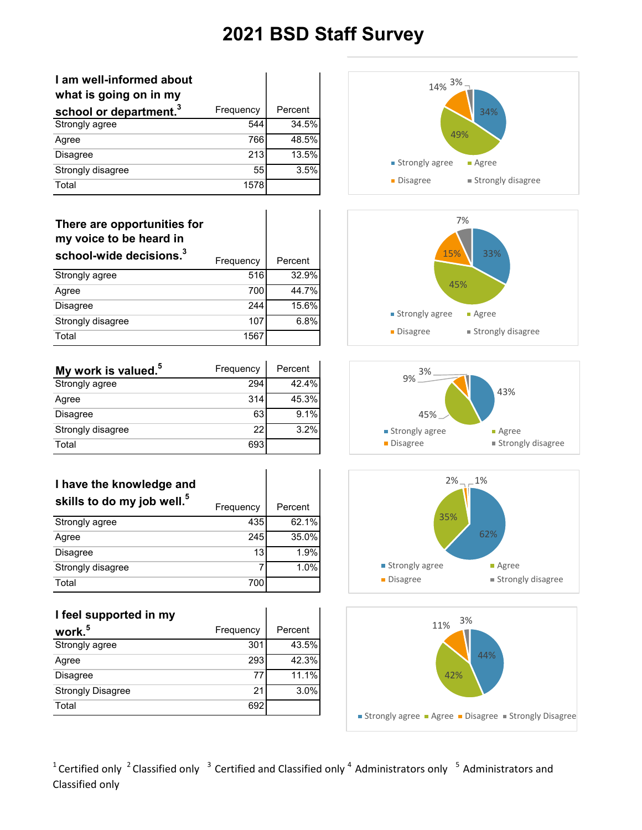| I am well-informed about<br>what is going on in my |           |         |
|----------------------------------------------------|-----------|---------|
| school or department. <sup>3</sup>                 | Frequency | Percent |
| Strongly agree                                     | 544       | 34.5%   |
| Agree                                              | 766       | 48.5%   |
| <b>Disagree</b>                                    | 213       | 13.5%   |
| Strongly disagree                                  | 55        | 3.5%    |
| Total                                              | 1578      |         |

#### **There are opportunities for my voice to be heard in school-wide decisions.<sup>3</sup>**

| SCHOOF-WIDE DECISIONS. | Frequency | Percent |
|------------------------|-----------|---------|
| Strongly agree         | 516       | 32.9%   |
| Agree                  | 700       | 44.7%   |
| <b>Disagree</b>        | 244       | 15.6%   |
| Strongly disagree      | 107       | 6.8%    |
| Total                  | 1567      |         |

| My work is valued. <sup>5</sup> | Frequency | Percent |
|---------------------------------|-----------|---------|
| Strongly agree                  | 294       | 42.4%   |
| Agree                           | 314       | 45.3%   |
| <b>Disagree</b>                 | 63        | 9.1%    |
| Strongly disagree               | 22        | 3.2%    |
| Total                           | 693       |         |

 $\overline{1}$ 

| I have the knowledge and               |           |         |
|----------------------------------------|-----------|---------|
| skills to do my job well. <sup>5</sup> | Frequency | Percent |
| Strongly agree                         | 435       | 62.1%   |
| Agree                                  | 245       | 35.0%   |
| <b>Disagree</b>                        | 13        | 1.9%    |
| Strongly disagree                      | 7         | 1.0%    |
| Total                                  | 700       |         |

### **I feel supported in my**

| work. <sup>5</sup>       | Frequency | Percent  |
|--------------------------|-----------|----------|
| Strongly agree           | 301       | 43.5%    |
| Agree                    | 293       | 42.3%    |
| <b>Disagree</b>          | 77        | $11.1\%$ |
| <b>Strongly Disagree</b> | 21        | 3.0%     |
| Total                    | 692       |          |









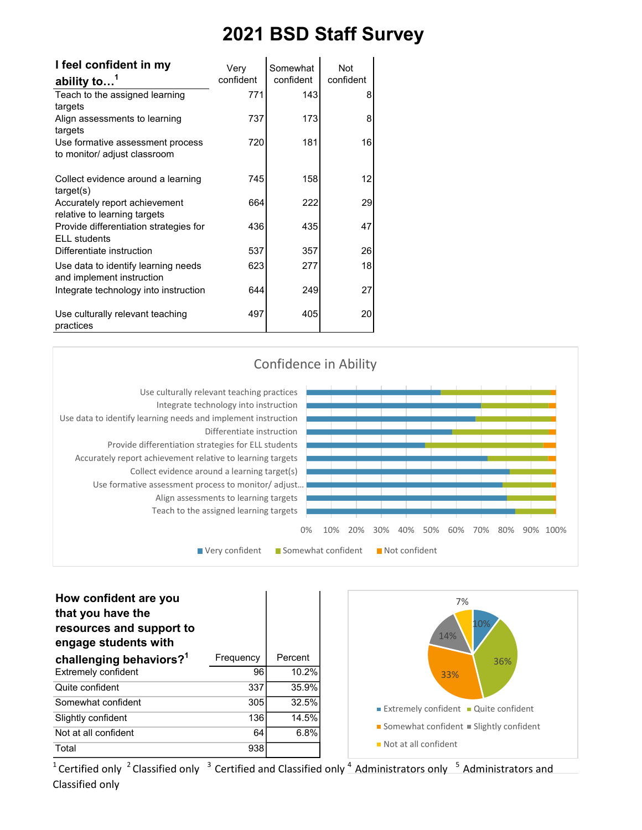| I feel confident in my                                           | Very      | Somewhat  | <b>Not</b> |  |
|------------------------------------------------------------------|-----------|-----------|------------|--|
| ability to <sup>1</sup>                                          | confident | confident | confident  |  |
| Teach to the assigned learning                                   | 771       | 143       | 8          |  |
| targets                                                          |           |           |            |  |
| Align assessments to learning<br>targets                         | 737       | 173       | 8          |  |
| Use formative assessment process<br>to monitor/ adjust classroom | 720       | 181       | 16         |  |
| Collect evidence around a learning<br>target(s)                  | 745       | 158       | 12         |  |
| Accurately report achievement<br>relative to learning targets    | 664       | 222       | 29         |  |
| Provide differentiation strategies for<br><b>ELL</b> students    | 436       | 435       | 47         |  |
| Differentiate instruction                                        | 537       | 357       | 26         |  |
| Use data to identify learning needs<br>and implement instruction | 623       | 277       | 18         |  |
| Integrate technology into instruction                            | 644       | 249       | 27         |  |
| Use culturally relevant teaching<br>practices                    | 497       | 405       | 20         |  |



| How confident are you<br>that you have the<br>resources and support to<br>engage students with |           |         |
|------------------------------------------------------------------------------------------------|-----------|---------|
| challenging behaviors? <sup>1</sup>                                                            | Frequency | Percent |
| <b>Extremely confident</b>                                                                     | 96        | 10.2%   |
| Quite confident                                                                                | 337       | 35.9%   |
| Somewhat confident                                                                             | 305       | 32.5%   |
| Slightly confident                                                                             | 136       | 14.5%   |
| Not at all confident                                                                           | 64        | 6.8%    |
| Total                                                                                          | 938       |         |

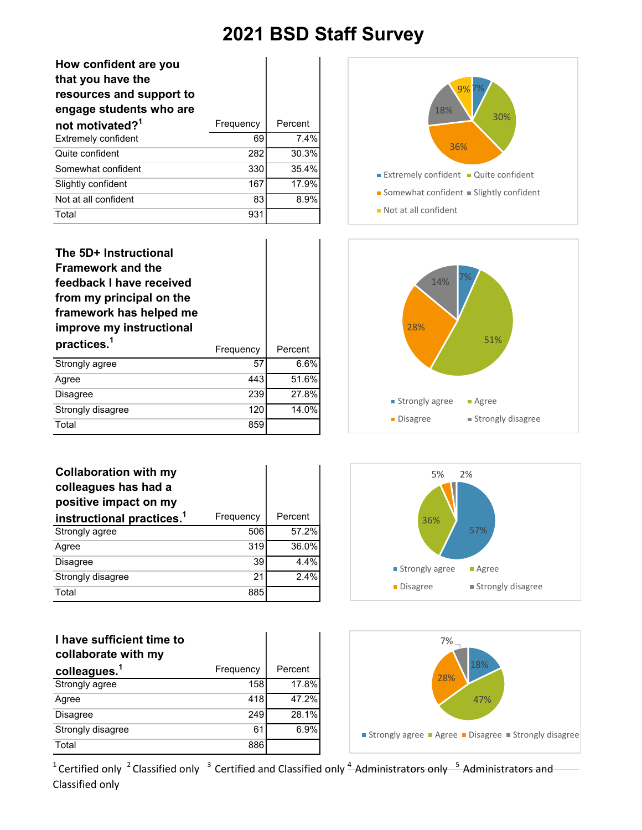$\overline{1}$ 

| How confident are you<br>that you have the<br>resources and support to<br>engage students who are |           |         |
|---------------------------------------------------------------------------------------------------|-----------|---------|
| not motivated? <sup>1</sup>                                                                       | Frequency | Percent |
| <b>Extremely confident</b>                                                                        | 69        | 7.4%    |
| Quite confident                                                                                   | 282       | 30.3%   |
| Somewhat confident                                                                                | 330       | 35.4%   |
| Slightly confident                                                                                | 167       | 17.9%   |
| Not at all confident                                                                              | 83        | 8.9%    |
| Total                                                                                             | 931       |         |

| The 5D+ Instructional<br><b>Framework and the</b><br>feedback I have received<br>from my principal on the<br>framework has helped me<br>improve my instructional |           |         |
|------------------------------------------------------------------------------------------------------------------------------------------------------------------|-----------|---------|
| practices. <sup>1</sup>                                                                                                                                          | Frequency | Percent |
| Strongly agree                                                                                                                                                   | 57        | 6.6%    |
| Agree                                                                                                                                                            | 443       | 51.6%   |
| <b>Disagree</b>                                                                                                                                                  | 239       | 27.8%   |
| Strongly disagree                                                                                                                                                | 120       | 14.0%   |
| Total                                                                                                                                                            | 859       |         |

| <b>Collaboration with my</b><br>colleagues has had a<br>positive impact on my |           |         |
|-------------------------------------------------------------------------------|-----------|---------|
| instructional practices. <sup>1</sup>                                         | Frequency | Percent |
| Strongly agree                                                                | 506       | 57.2%   |
| Agree                                                                         | 319       | 36.0%   |
| Disagree                                                                      | 39        | 4.4%    |
| Strongly disagree                                                             | 21        | 2.4%    |
| Total                                                                         | 885       |         |

| I have sufficient time to<br>collaborate with my |           |         |
|--------------------------------------------------|-----------|---------|
| colleagues. <sup>1</sup>                         | Frequency | Percent |
| Strongly agree                                   | 158       | 17.8%   |
| Agree                                            | 418       | 47.2%   |
| <b>Disagree</b>                                  | 249       | 28.1%   |
| Strongly disagree                                | 61        | 6.9%    |
| Total                                            | 886       |         |







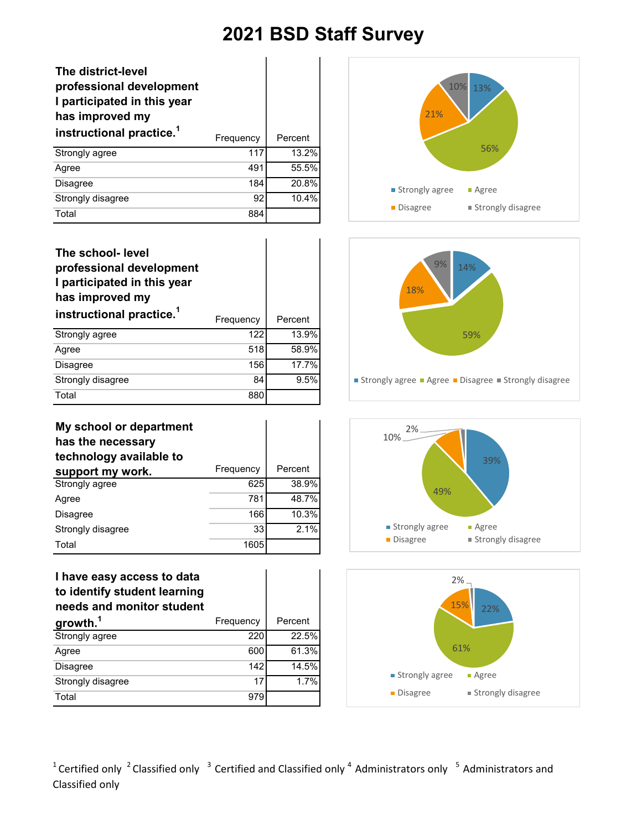| The district-level<br>professional development<br>I participated in this year<br>has improved my<br>instructional practice. <sup>1</sup> | Frequency | Percent |
|------------------------------------------------------------------------------------------------------------------------------------------|-----------|---------|
| Strongly agree                                                                                                                           | 117       | 13.2%   |
| Agree                                                                                                                                    | 491       | 55.5%   |
| <b>Disagree</b>                                                                                                                          | 184       | 20.8%   |
| Strongly disagree                                                                                                                        | 92        | 10.4%   |
| Total                                                                                                                                    | 884       |         |

| The school- level<br>professional development<br>I participated in this year<br>has improved my<br>instructional practice. <sup>1</sup> | Frequency | Percent |
|-----------------------------------------------------------------------------------------------------------------------------------------|-----------|---------|
| Strongly agree                                                                                                                          | 122       | 13.9%   |
| Agree                                                                                                                                   | 518       | 58.9%   |
| <b>Disagree</b>                                                                                                                         | 156       | 17.7%   |
| Strongly disagree                                                                                                                       | 84        | 9.5%    |
| Total                                                                                                                                   | 880       |         |

| My school or department<br>has the necessary<br>technology available to |           |         |
|-------------------------------------------------------------------------|-----------|---------|
| support my work.                                                        | Frequency | Percent |
| Strongly agree                                                          | 625       | 38.9%   |
| Agree                                                                   | 781       | 48.7%   |
| <b>Disagree</b>                                                         | 166       | 10.3%   |
| Strongly disagree                                                       | 33        | 2.1%    |
| Total                                                                   | 1605      |         |

#### **I have easy access to data to identify student learning needs and monitor student**

| growth. <sup>1</sup> | Frequency | Percent |
|----------------------|-----------|---------|
| Strongly agree       | 220       | 22.5%   |
| Agree                | 600       | 61.3%   |
| <b>Disagree</b>      | 142       | 14.5%   |
| Strongly disagree    | 17        | 1.7%    |
| Total                | 979       |         |







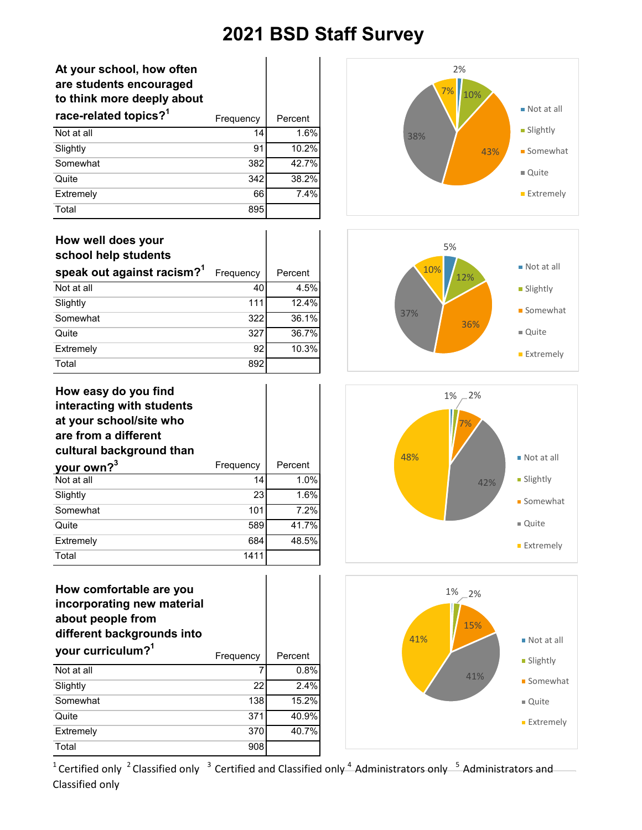### **At your school, how often are students encouraged to think more deeply about**

| race-related topics? <sup>1</sup> | Frequency | Percent |
|-----------------------------------|-----------|---------|
| Not at all                        | 14        | 1.6%    |
| Slightly                          | 91        | 10.2%   |
| Somewhat                          | 382       | 42.7%   |
| Quite                             | 342       | 38.2%   |
| Extremely                         | 66        | 7.4%    |
| Total                             | 895       |         |

## **How well does your school help students**

| speak out against racism? <sup>1</sup> | Frequency | Percent |
|----------------------------------------|-----------|---------|
| Not at all                             | 40        | 4.5%    |
| Slightly                               | 111       | 12.4%   |
| Somewhat                               | 322       | 36.1%   |
| Quite                                  | 327       | 36.7%   |
| Extremely                              | 92        | 10.3%   |
| Total                                  | 892       |         |

| How easy do you find<br>interacting with students<br>at your school/site who<br>are from a different<br>cultural background than |           |         |
|----------------------------------------------------------------------------------------------------------------------------------|-----------|---------|
| your own? <sup>3</sup>                                                                                                           | Frequency | Percent |
| Not at all                                                                                                                       | 14        | 1.0%    |
| Slightly                                                                                                                         | 23        | 1.6%    |
| Somewhat                                                                                                                         | 101       | 7.2%    |
| Quite                                                                                                                            | 589       | 41.7%   |
| Extremely                                                                                                                        | 684       | 48.5%   |
| Total                                                                                                                            | 1411      |         |

## **How comfortable are you incorporating new material about people from different backgrounds into your curriculum?1** Frequency | Percent Not at all  $\overline{7}$  0.8%  $\overline{\text{Slight}}$  2.4% Somewhat 138 15.2% Quite 371 40.9% Extremely 370 40.7% Total 908